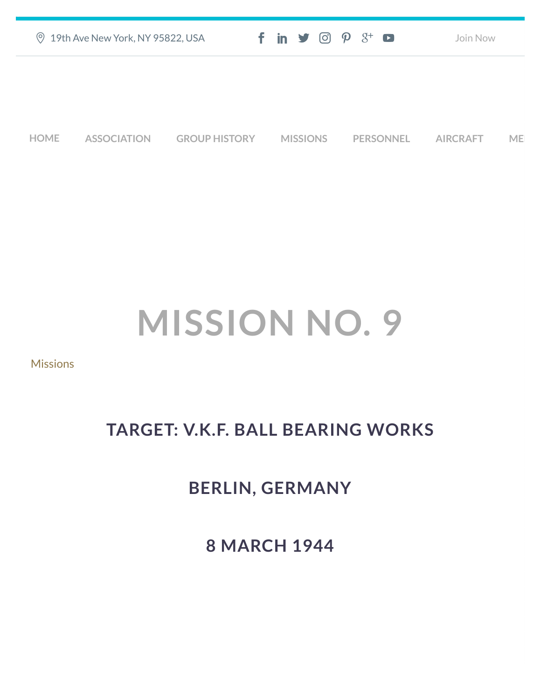| <b>9 19th Ave New York, NY 95822, USA</b> |                    |                      | $f$ in $\mathcal{I}$ $\odot$ $\mathcal{P}$ $\mathcal{S}^+$ $\bullet$ |                 |  |                  | Join Now |                 |    |
|-------------------------------------------|--------------------|----------------------|----------------------------------------------------------------------|-----------------|--|------------------|----------|-----------------|----|
|                                           |                    |                      |                                                                      |                 |  |                  |          |                 |    |
|                                           |                    |                      |                                                                      |                 |  |                  |          |                 |    |
| <b>HOME</b>                               | <b>ASSOCIATION</b> | <b>GROUP HISTORY</b> |                                                                      | <b>MISSIONS</b> |  | <b>PERSONNEL</b> |          | <b>AIRCRAFT</b> | ME |

# **MISSION NO. 9**

[Missions](https://457thbombgroupassoc.org/category/missions/)

## **TARGET: V.K.F. BALL BEARING WORKS**

## **BERLIN, GERMANY**

**8 MARCH 1944**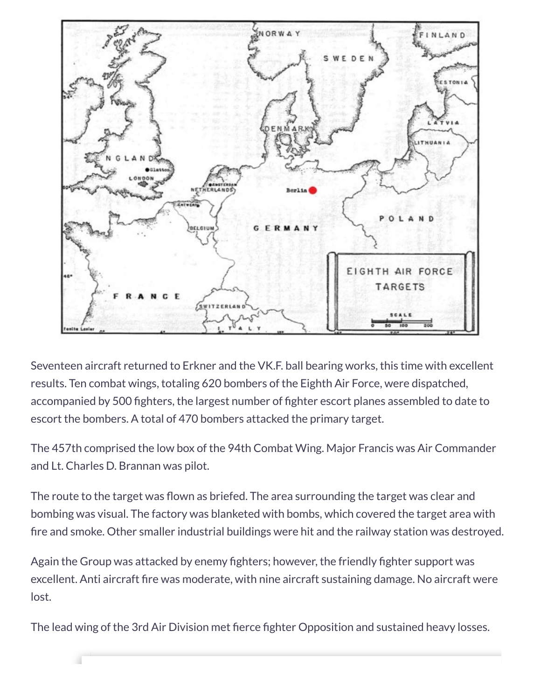

Seventeen aircraft returned to Erkner and the VK.F. ball bearing works, this time with excellent results. Ten combat wings, totaling 620 bombers of the Eighth Air Force, were dispatched, accompanied by 500 fighters, the largest number of fighter escort planes assembled to date to escort the bombers. A total of 470 bombers attacked the primary target.

The 457th comprised the low box of the 94th Combat Wing. Major Francis was Air Commander and Lt. Charles D. Brannan was pilot.

The route to the target was flown as briefed. The area surrounding the target was clear and bombing was visual. The factory was blanketed with bombs, which covered the target area with fire and smoke. Other smaller industrial buildings were hit and the railway station was destroyed.

Again the Group was attacked by enemy fighters; however, the friendly fighter support was excellent. Anti aircraft fire was moderate, with nine aircraft sustaining damage. No aircraft were lost.

The lead wing of the 3rd Air Division met fierce fighter Opposition and sustained heavy losses.